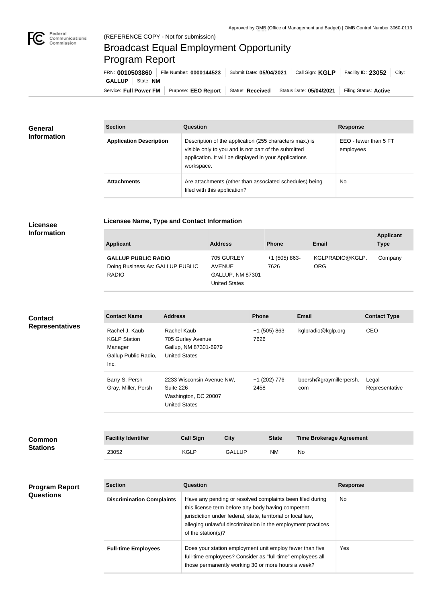

**The State** 

## Broadcast Equal Employment Opportunity Program Report

**Licensee Name, Type and Contact Information**

| FRN: 0010503860        |           | File Number: 0000144523 |                  | Submit Date: 05/04/2021   Call Sign: KGLP | Facility ID: $23052$ City: |
|------------------------|-----------|-------------------------|------------------|-------------------------------------------|----------------------------|
| <b>GALLUP</b>          | State: NM |                         |                  |                                           |                            |
| Service: Full Power FM |           | Purpose: EEO Report     | Status: Received | Status Date: 05/04/2021                   | Filing Status: Active      |

| <b>General</b><br><b>Information</b> | <b>Section</b>                 | Question                                                                                                                                                                                | <b>Response</b>                    |
|--------------------------------------|--------------------------------|-----------------------------------------------------------------------------------------------------------------------------------------------------------------------------------------|------------------------------------|
|                                      | <b>Application Description</b> | Description of the application (255 characters max.) is<br>visible only to you and is not part of the submitted<br>application. It will be displayed in your Applications<br>workspace. | EEO - fewer than 5 FT<br>employees |
|                                      | <b>Attachments</b>             | Are attachments (other than associated schedules) being<br>filed with this application?                                                                                                 | <b>No</b>                          |

## **Licensee Information**

**Stations**

| Applicant                                                                      | <b>Address</b>                                                                 | <b>Phone</b>            | Email                  | <b>Applicant</b><br><b>Type</b> |
|--------------------------------------------------------------------------------|--------------------------------------------------------------------------------|-------------------------|------------------------|---------------------------------|
| <b>GALLUP PUBLIC RADIO</b><br>Doing Business As: GALLUP PUBLIC<br><b>RADIO</b> | 705 GURLEY<br><b>AVENUE</b><br><b>GALLUP, NM 87301</b><br><b>United States</b> | $+1$ (505) 863-<br>7626 | KGLPRADIO@KGLP.<br>ORG | Company                         |

| <b>Contact</b><br><b>Representatives</b> | <b>Contact Name</b>                                                              | <b>Address</b>                                                                         | <b>Phone</b>            | <b>Email</b>                    | <b>Contact Type</b>     |
|------------------------------------------|----------------------------------------------------------------------------------|----------------------------------------------------------------------------------------|-------------------------|---------------------------------|-------------------------|
|                                          | Rachel J. Kaub<br><b>KGLP Station</b><br>Manager<br>Gallup Public Radio,<br>Inc. | Rachel Kaub<br>705 Gurley Avenue<br>Gallup, NM 87301-6979<br><b>United States</b>      | $+1$ (505) 863-<br>7626 | kglpradio@kglp.org              | CEO                     |
|                                          | Barry S. Persh<br>Gray, Miller, Persh                                            | 2233 Wisconsin Avenue NW,<br>Suite 226<br>Washington, DC 20007<br><b>United States</b> | +1 (202) 776-<br>2458   | bpersh@graymillerpersh.<br>com  | Legal<br>Representative |
|                                          |                                                                                  |                                                                                        |                         |                                 |                         |
| <b>Common</b>                            | <b>Facility Identifier</b>                                                       | <b>Call Sign</b><br><b>City</b>                                                        | <b>State</b>            | <b>Time Brokerage Agreement</b> |                         |

23052 KGLP GALLUP NM No

| <b>Program Report</b><br><b>Questions</b> | <b>Section</b>                   | Question                                                                                                                                                                                                                                                              | <b>Response</b> |
|-------------------------------------------|----------------------------------|-----------------------------------------------------------------------------------------------------------------------------------------------------------------------------------------------------------------------------------------------------------------------|-----------------|
|                                           | <b>Discrimination Complaints</b> | Have any pending or resolved complaints been filed during<br>this license term before any body having competent<br>jurisdiction under federal, state, territorial or local law,<br>alleging unlawful discrimination in the employment practices<br>of the station(s)? | No.             |
|                                           | <b>Full-time Employees</b>       | Does your station employment unit employ fewer than five<br>full-time employees? Consider as "full-time" employees all<br>those permanently working 30 or more hours a week?                                                                                          | Yes.            |